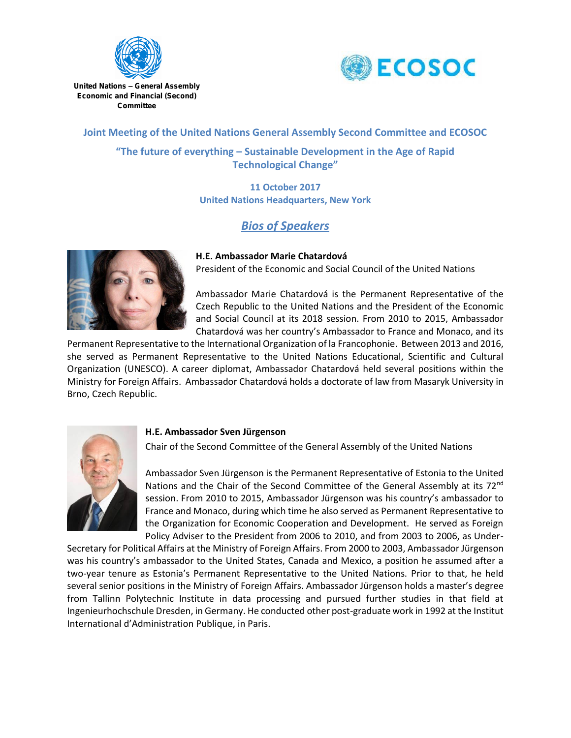



United Nations – General Assembly Economic and Financial (Second) Committee

# **Joint Meeting of the United Nations General Assembly Second Committee and ECOSOC**

**"The future of everything – Sustainable Development in the Age of Rapid Technological Change"**

> **11 October 2017 United Nations Headquarters, New York**

# *Bios of Speakers*



**H.E. Ambassador Marie Chatardová** President of the Economic and Social Council of the United Nations

Ambassador Marie Chatardová is the Permanent Representative of the Czech Republic to the United Nations and the President of the Economic and Social Council at its 2018 session. From 2010 to 2015, Ambassador Chatardová was her country's Ambassador to France and Monaco, and its

Permanent Representative to the International Organization of la Francophonie. Between 2013 and 2016, she served as Permanent Representative to the United Nations Educational, Scientific and Cultural Organization (UNESCO). A career diplomat, Ambassador Chatardová held several positions within the Ministry for Foreign Affairs. Ambassador Chatardová holds a doctorate of law from Masaryk University in Brno, Czech Republic.



# **H.E. Ambassador Sven Jürgenson**

Chair of the Second Committee of the General Assembly of the United Nations

Ambassador Sven Jürgenson is the Permanent Representative of Estonia to the United Nations and the Chair of the Second Committee of the General Assembly at its 72<sup>nd</sup> session. From 2010 to 2015, Ambassador Jürgenson was his country's ambassador to France and Monaco, during which time he also served as Permanent Representative to the Organization for Economic Cooperation and Development. He served as Foreign Policy Adviser to the President from 2006 to 2010, and from 2003 to 2006, as Under-

Secretary for Political Affairs at the Ministry of Foreign Affairs. From 2000 to 2003, Ambassador Jürgenson was his country's ambassador to the United States, Canada and Mexico, a position he assumed after a two-year tenure as Estonia's Permanent Representative to the United Nations. Prior to that, he held several senior positions in the Ministry of Foreign Affairs. Ambassador Jürgenson holds a master's degree from Tallinn Polytechnic Institute in data processing and pursued further studies in that field at Ingenieurhochschule Dresden, in Germany. He conducted other post-graduate work in 1992 at the Institut International d'Administration Publique, in Paris.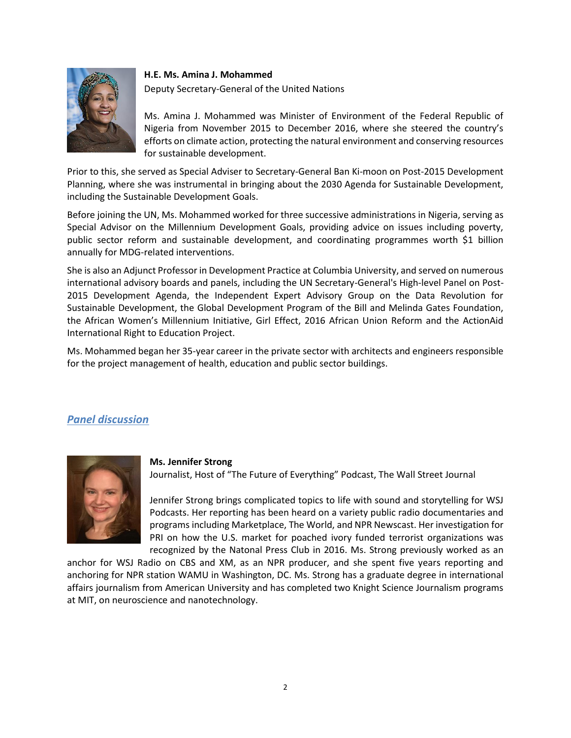

#### **H.E. Ms. Amina J. Mohammed**

Deputy Secretary-General of the United Nations

Ms. Amina J. Mohammed was Minister of Environment of the Federal Republic of Nigeria from November 2015 to December 2016, where she steered the country's efforts on climate action, protecting the natural environment and conserving resources for sustainable development.

Prior to this, she served as Special Adviser to Secretary-General Ban Ki-moon on Post-2015 Development Planning, where she was instrumental in bringing about the 2030 Agenda for Sustainable Development, including the Sustainable Development Goals.

Before joining the UN, Ms. Mohammed worked for three successive administrations in Nigeria, serving as Special Advisor on the Millennium Development Goals, providing advice on issues including poverty, public sector reform and sustainable development, and coordinating programmes worth \$1 billion annually for MDG-related interventions.

She is also an Adjunct Professor in Development Practice at Columbia University, and served on numerous international advisory boards and panels, including the UN Secretary-General's High-level Panel on Post-2015 Development Agenda, the Independent Expert Advisory Group on the Data Revolution for Sustainable Development, the Global Development Program of the Bill and Melinda Gates Foundation, the African Women's Millennium Initiative, Girl Effect, 2016 African Union Reform and the ActionAid International Right to Education Project.

Ms. Mohammed began her 35-year career in the private sector with architects and engineers responsible for the project management of health, education and public sector buildings.

# *Panel discussion*



### **Ms. Jennifer Strong**

Journalist, Host of "The Future of Everything" Podcast, The Wall Street Journal

Jennifer Strong brings complicated topics to life with sound and storytelling for WSJ Podcasts. Her reporting has been heard on a variety public radio documentaries and programs including Marketplace, The World, and NPR Newscast. Her investigation for PRI on how the U.S. market for poached ivory funded terrorist organizations was recognized by the Natonal Press Club in 2016. Ms. Strong previously worked as an

anchor for WSJ Radio on CBS and XM, as an NPR producer, and she spent five years reporting and anchoring for NPR station WAMU in Washington, DC. Ms. Strong has a graduate degree in international affairs journalism from American University and has completed two Knight Science Journalism programs at MIT, on neuroscience and nanotechnology.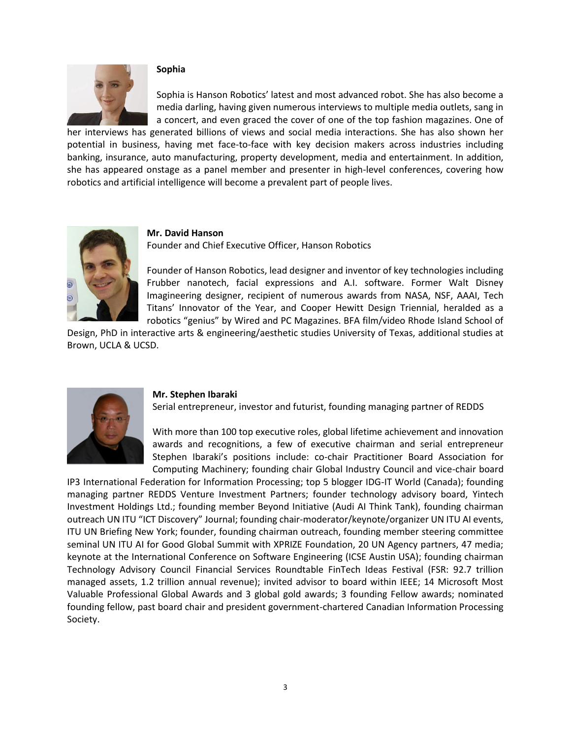

#### **Sophia**

Sophia is Hanson Robotics' latest and most advanced robot. She has also become a media darling, having given numerous interviews to multiple media outlets, sang in a concert, and even graced the cover of one of the top fashion magazines. One of

her interviews has generated billions of views and social media interactions. She has also shown her potential in business, having met face-to-face with key decision makers across industries including banking, insurance, auto manufacturing, property development, media and entertainment. In addition, she has appeared onstage as a panel member and presenter in high-level conferences, covering how robotics and artificial intelligence will become a prevalent part of people lives.



#### **Mr. David Hanson**

Founder and Chief Executive Officer, Hanson Robotics

Founder of Hanson Robotics, lead designer and inventor of key technologies including Frubber nanotech, facial expressions and A.I. software. Former Walt Disney Imagineering designer, recipient of numerous awards from NASA, NSF, AAAI, Tech Titans' Innovator of the Year, and Cooper Hewitt Design Triennial, heralded as a robotics "genius" by Wired and PC Magazines. BFA film/video Rhode Island School of

Design, PhD in interactive arts & engineering/aesthetic studies University of Texas, additional studies at Brown, UCLA & UCSD.



#### **Mr. Stephen Ibaraki**

Serial entrepreneur, investor and futurist, founding managing partner of REDDS

With more than 100 top executive roles, global lifetime achievement and innovation awards and recognitions, a few of executive chairman and serial entrepreneur Stephen Ibaraki's positions include: co-chair Practitioner Board Association for Computing Machinery; founding chair Global Industry Council and vice-chair board

IP3 International Federation for Information Processing; top 5 blogger IDG-IT World (Canada); founding managing partner REDDS Venture Investment Partners; founder technology advisory board, Yintech Investment Holdings Ltd.; founding member Beyond Initiative (Audi AI Think Tank), founding chairman outreach UN ITU "ICT Discovery" Journal; founding chair-moderator/keynote/organizer UN ITU AI events, ITU UN Briefing New York; founder, founding chairman outreach, founding member steering committee seminal UN ITU AI for Good Global Summit with XPRIZE Foundation, 20 UN Agency partners, 47 media; keynote at the International Conference on Software Engineering (ICSE Austin USA); founding chairman Technology Advisory Council Financial Services Roundtable FinTech Ideas Festival (FSR: 92.7 trillion managed assets, 1.2 trillion annual revenue); invited advisor to board within IEEE; 14 Microsoft Most Valuable Professional Global Awards and 3 global gold awards; 3 founding Fellow awards; nominated founding fellow, past board chair and president government-chartered Canadian Information Processing Society.